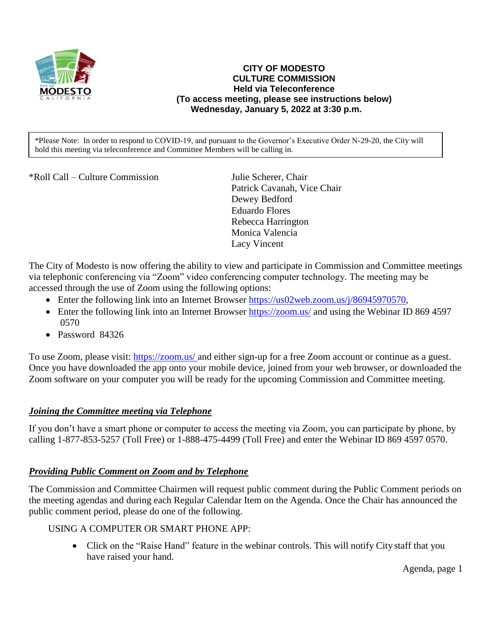

# **CITY OF MODESTO CULTURE COMMISSION Held via Teleconference (To access meeting, please see instructions below) Wednesday, January 5, 2022 at 3:30 p.m.**

\*Please Note: In order to respond to COVID-19, and pursuant to the Governor's Executive Order N-29-20, the City will hold this meeting via teleconference and Committee Members will be calling in.

\*Roll Call – Culture Commission Julie Scherer, Chair

Patrick Cavanah, Vice Chair Dewey Bedford Eduardo Flores Rebecca Harrington Monica Valencia Lacy Vincent

The City of Modesto is now offering the ability to view and participate in Commission and Committee meetings via telephonic conferencing via "Zoom" video conferencing computer technology. The meeting may be accessed through the use of Zoom using the following options:

- Enter the following link into an Internet Browser [https://us02web.zoom.us/j/86945970570,](https://us02web.zoom.us/j/86945970570)
- Enter the following link into an Internet Browser<https://zoom.us/> and using the Webinar ID 869 4597 0570
- Password 84326

To use Zoom, please visit: [https://zoom.us/ a](https://zoom.us/)nd either sign-up for a free Zoom account or continue as a guest. Once you have downloaded the app onto your mobile device, joined from your web browser, or downloaded the Zoom software on your computer you will be ready for the upcoming Commission and Committee meeting.

# *Joining the Committee meeting via Telephone*

If you don't have a smart phone or computer to access the meeting via Zoom, you can participate by phone, by calling 1-877-853-5257 (Toll Free) or 1-888-475-4499 (Toll Free) and enter the Webinar ID 869 4597 0570.

# *Providing Public Comment on Zoom and by Telephone*

The Commission and Committee Chairmen will request public comment during the Public Comment periods on the meeting agendas and during each Regular Calendar Item on the Agenda. Once the Chair has announced the public comment period, please do one of the following.

# USING A COMPUTER OR SMART PHONE APP:

• Click on the "Raise Hand" feature in the webinar controls. This will notify City staff that you have raised your hand.

Agenda, page 1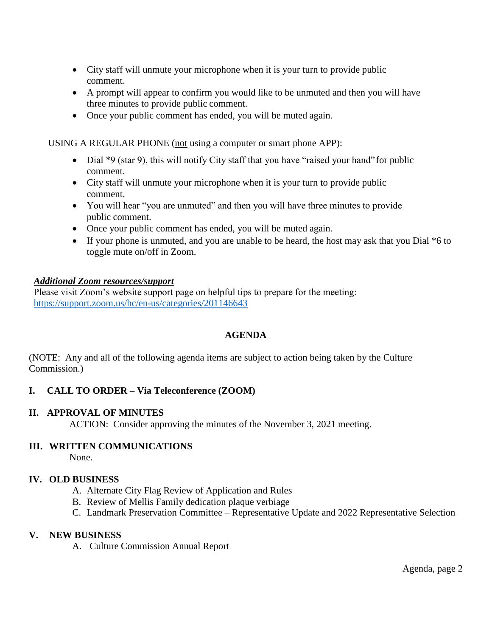- City staff will unmute your microphone when it is your turn to provide public comment.
- A prompt will appear to confirm you would like to be unmuted and then you will have three minutes to provide public comment.
- Once your public comment has ended, you will be muted again.

USING A REGULAR PHONE (not using a computer or smart phone APP):

- Dial \*9 (star 9), this will notify City staff that you have "raised your hand" for public comment.
- City staff will unmute your microphone when it is your turn to provide public comment.
- You will hear "you are unmuted" and then you will have three minutes to provide public comment.
- Once your public comment has ended, you will be muted again.
- If your phone is unmuted, and you are unable to be heard, the host may ask that you Dial  $*6$  to toggle mute on/off in Zoom.

# *Additional Zoom resources/support*

Please visit Zoom's website support page on helpful tips to prepare for the meeting: <https://support.zoom.us/hc/en-us/categories/201146643>

# **AGENDA**

(NOTE: Any and all of the following agenda items are subject to action being taken by the Culture Commission.)

# **I. CALL TO ORDER – Via Teleconference (ZOOM)**

# **II. APPROVAL OF MINUTES**

ACTION: Consider approving the minutes of the November 3, 2021 meeting.

# **III. WRITTEN COMMUNICATIONS**

None.

# **IV. OLD BUSINESS**

- A. Alternate City Flag Review of Application and Rules
- B. Review of Mellis Family dedication plaque verbiage
- C. Landmark Preservation Committee Representative Update and 2022 Representative Selection

# **V. NEW BUSINESS**

A. Culture Commission Annual Report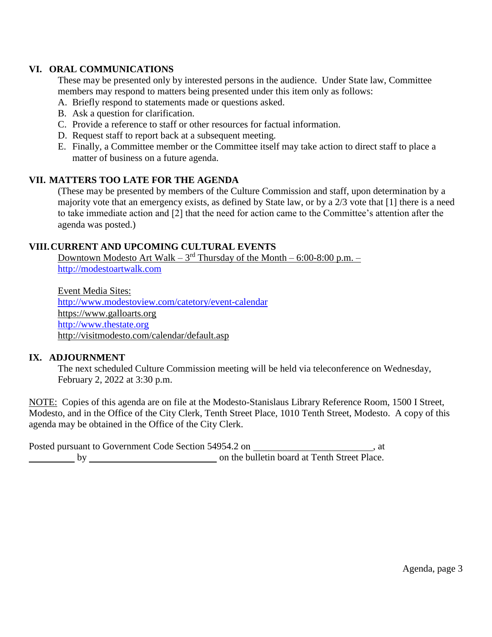# **VI. ORAL COMMUNICATIONS**

These may be presented only by interested persons in the audience. Under State law, Committee members may respond to matters being presented under this item only as follows:

- A. Briefly respond to statements made or questions asked.
- B. Ask a question for clarification.
- C. Provide a reference to staff or other resources for factual information.
- D. Request staff to report back at a subsequent meeting.
- E. Finally, a Committee member or the Committee itself may take action to direct staff to place a matter of business on a future agenda.

# **VII. MATTERS TOO LATE FOR THE AGENDA**

(These may be presented by members of the Culture Commission and staff, upon determination by a majority vote that an emergency exists, as defined by State law, or by a 2/3 vote that [1] there is a need to take immediate action and [2] that the need for action came to the Committee's attention after the agenda was posted.)

# **VIII.CURRENT AND UPCOMING CULTURAL EVENTS**

Downtown Modesto Art Walk –  $3^{rd}$  Thursday of the Month – 6:00-8:00 p.m. – [http://modestoartwalk.com](http://modestoartwalk.com/)

Event Media Sites: <http://www.modestoview.com/catetory/event-calendar> https://www.galloarts.org [http://www.thestate.org](http://www.thestate.org/) http://visitmodesto.com/calendar/default.asp

# **IX. ADJOURNMENT**

The next scheduled Culture Commission meeting will be held via teleconference on Wednesday, February 2, 2022 at 3:30 p.m.

NOTE: Copies of this agenda are on file at the Modesto-Stanislaus Library Reference Room, 1500 I Street, Modesto, and in the Office of the City Clerk, Tenth Street Place, 1010 Tenth Street, Modesto. A copy of this agenda may be obtained in the Office of the City Clerk.

Posted pursuant to Government Code Section 54954.2 on \_\_\_\_\_\_\_\_\_\_\_\_\_\_\_\_\_\_\_\_\_\_\_\_\_\_\_, at by **by by by by b bulletin board** at Tenth Street Place.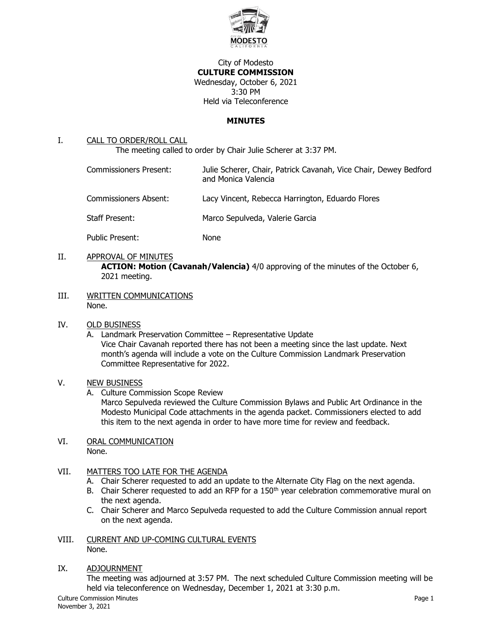

#### City of Modesto **CULTURE COMMISSION** Wednesday, October 6, 2021 3:30 PM Held via Teleconference

#### **MINUTES**

#### I. CALL TO ORDER/ROLL CALL

The meeting called to order by Chair Julie Scherer at 3:37 PM.

| <b>Commissioners Present:</b> | Julie Scherer, Chair, Patrick Cavanah, Vice Chair, Dewey Bedford<br>and Monica Valencia |  |
|-------------------------------|-----------------------------------------------------------------------------------------|--|
| <b>Commissioners Absent:</b>  | Lacy Vincent, Rebecca Harrington, Eduardo Flores                                        |  |
| Staff Present:                | Marco Sepulveda, Valerie Garcia                                                         |  |
| Public Present:               | None                                                                                    |  |

#### II. APPROVAL OF MINUTES **ACTION: Motion (Cavanah/Valencia)** 4/0 approving of the minutes of the October 6, 2021 meeting.

- III. WRITTEN COMMUNICATIONS None.
- IV. OLD BUSINESS
	- A. Landmark Preservation Committee Representative Update

Vice Chair Cavanah reported there has not been a meeting since the last update. Next month's agenda will include a vote on the Culture Commission Landmark Preservation Committee Representative for 2022.

#### V. NEW BUSINESS

A. Culture Commission Scope Review

Marco Sepulveda reviewed the Culture Commission Bylaws and Public Art Ordinance in the Modesto Municipal Code attachments in the agenda packet. Commissioners elected to add this item to the next agenda in order to have more time for review and feedback.

VI. ORAL COMMUNICATION None.

#### VII. MATTERS TOO LATE FOR THE AGENDA

- A. Chair Scherer requested to add an update to the Alternate City Flag on the next agenda.
- B. Chair Scherer requested to add an RFP for a 150<sup>th</sup> year celebration commemorative mural on the next agenda.
- C. Chair Scherer and Marco Sepulveda requested to add the Culture Commission annual report on the next agenda.
- VIII. CURRENT AND UP-COMING CULTURAL EVENTS None.
- IX. ADJOURNMENT

The meeting was adjourned at 3:57 PM. The next scheduled Culture Commission meeting will be held via teleconference on Wednesday, December 1, 2021 at 3:30 p.m.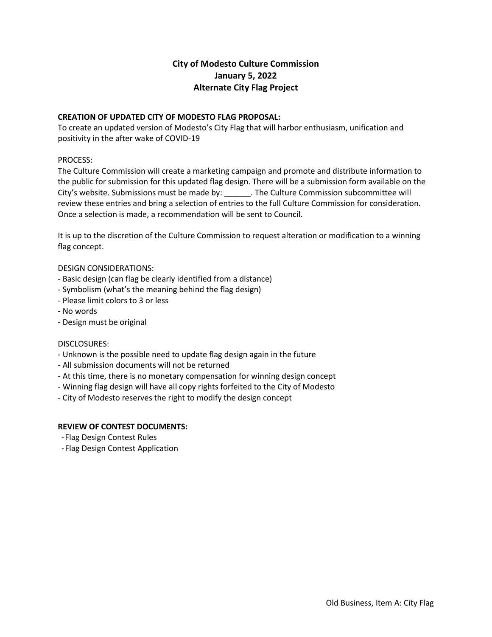# **City of Modesto Culture Commission January 5, 2022 Alternate City Flag Project**

#### **CREATION OF UPDATED CITY OF MODESTO FLAG PROPOSAL:**

To create an updated version of Modesto's City Flag that will harbor enthusiasm, unification and positivity in the after wake of COVID-19

#### PROCESS:

The Culture Commission will create a marketing campaign and promote and distribute information to the public for submission for this updated flag design. There will be a submission form available on the City's website. Submissions must be made by: \_\_\_\_\_\_. The Culture Commission subcommittee will review these entries and bring a selection of entries to the full Culture Commission for consideration. Once a selection is made, a recommendation will be sent to Council.

It is up to the discretion of the Culture Commission to request alteration or modification to a winning flag concept.

#### DESIGN CONSIDERATIONS:

- Basic design (can flag be clearly identified from a distance)
- Symbolism (what's the meaning behind the flag design)
- Please limit colors to 3 or less
- No words
- Design must be original

#### DISCLOSURES:

- Unknown is the possible need to update flag design again in the future
- All submission documents will not be returned
- At this time, there is no monetary compensation for winning design concept
- Winning flag design will have all copy rights forfeited to the City of Modesto
- City of Modesto reserves the right to modify the design concept

#### **REVIEW OF CONTEST DOCUMENTS:**

- -Flag Design Contest Rules
- -Flag Design Contest Application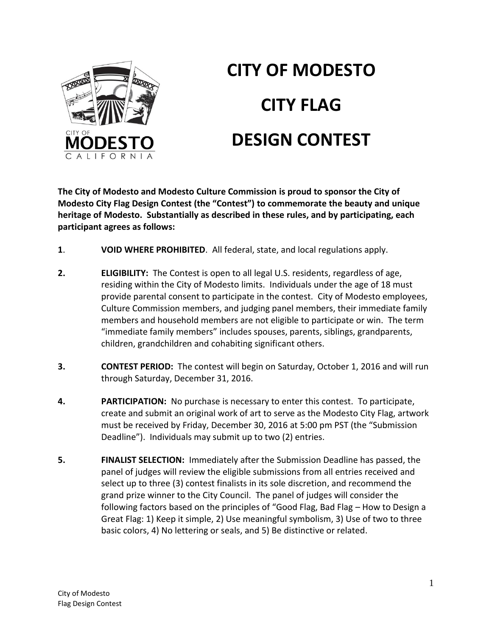

# **CITY OF MODESTO CITY FLAG DESIGN CONTEST**

**The City of Modesto and Modesto Culture Commission is proud to sponsor the City of Modesto City Flag Design Contest (the "Contest") to commemorate the beauty and unique heritage of Modesto. Substantially as described in these rules, and by participating, each participant agrees as follows:**

- **1**. **VOID WHERE PROHIBITED**. All federal, state, and local regulations apply.
- **2. ELIGIBILITY:** The Contest is open to all legal U.S. residents, regardless of age, residing within the City of Modesto limits. Individuals under the age of 18 must provide parental consent to participate in the contest. City of Modesto employees, Culture Commission members, and judging panel members, their immediate family members and household members are not eligible to participate or win. The term "immediate family members" includes spouses, parents, siblings, grandparents, children, grandchildren and cohabiting significant others.
- **3. CONTEST PERIOD:** The contest will begin on Saturday, October 1, 2016 and will run through Saturday, December 31, 2016.
- **4. PARTICIPATION:** No purchase is necessary to enter this contest. To participate, create and submit an original work of art to serve as the Modesto City Flag, artwork must be received by Friday, December 30, 2016 at 5:00 pm PST (the "Submission Deadline"). Individuals may submit up to two (2) entries.
- **5. FINALIST SELECTION:** Immediately after the Submission Deadline has passed, the panel of judges will review the eligible submissions from all entries received and select up to three (3) contest finalists in its sole discretion, and recommend the grand prize winner to the City Council. The panel of judges will consider the following factors based on the principles of "Good Flag, Bad Flag – How to Design a Great Flag: 1) Keep it simple, 2) Use meaningful symbolism, 3) Use of two to three basic colors, 4) No lettering or seals, and 5) Be distinctive or related.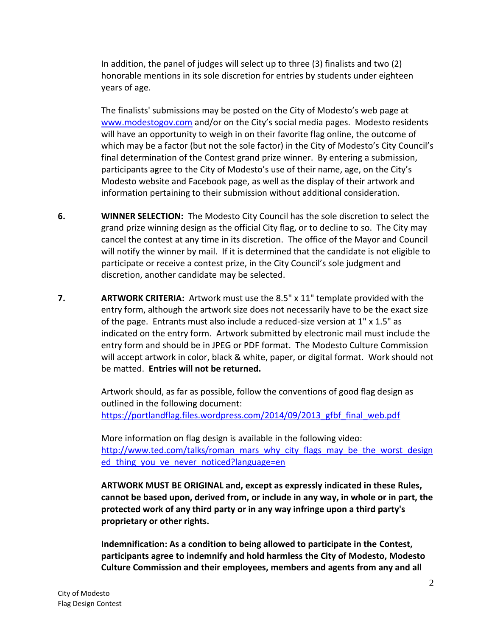In addition, the panel of judges will select up to three (3) finalists and two (2) honorable mentions in its sole discretion for entries by students under eighteen years of age.

The finalists' submissions may be posted on the City of Modesto's web page at [www.modestogov.com](http://www.modestogov.com/) and/or on the City's social media pages. Modesto residents will have an opportunity to weigh in on their favorite flag online, the outcome of which may be a factor (but not the sole factor) in the City of Modesto's City Council's final determination of the Contest grand prize winner. By entering a submission, participants agree to the City of Modesto's use of their name, age, on the City's Modesto website and Facebook page, as well as the display of their artwork and information pertaining to their submission without additional consideration.

- **6. WINNER SELECTION:** The Modesto City Council has the sole discretion to select the grand prize winning design as the official City flag, or to decline to so. The City may cancel the contest at any time in its discretion. The office of the Mayor and Council will notify the winner by mail. If it is determined that the candidate is not eligible to participate or receive a contest prize, in the City Council's sole judgment and discretion, another candidate may be selected.
- **7. ARTWORK CRITERIA:** Artwork must use the 8.5" x 11" template provided with the entry form, although the artwork size does not necessarily have to be the exact size of the page. Entrants must also include a reduced-size version at 1" x 1.5" as indicated on the entry form. Artwork submitted by electronic mail must include the entry form and should be in JPEG or PDF format. The Modesto Culture Commission will accept artwork in color, black & white, paper, or digital format. Work should not be matted. **Entries will not be returned.**

Artwork should, as far as possible, follow the conventions of good flag design as outlined in the following document: [https://portlandflag.files.wordpress.com/2014/09/2013\\_gfbf\\_final\\_web.pdf](https://portlandflag.files.wordpress.com/2014/09/2013_gfbf_final_web.pdf)

More information on flag design is available in the following video: [http://www.ted.com/talks/roman\\_mars\\_why\\_city\\_flags\\_may\\_be\\_the\\_worst\\_design](http://www.ted.com/talks/roman_mars_why_city_flags_may_be_the_worst_designed_thing_you_ve_never_noticed?language=en) ed thing you ve never noticed?language=en

**ARTWORK MUST BE ORIGINAL and, except as expressly indicated in these Rules, cannot be based upon, derived from, or include in any way, in whole or in part, the protected work of any third party or in any way infringe upon a third party's proprietary or other rights.**

**Indemnification: As a condition to being allowed to participate in the Contest, participants agree to indemnify and hold harmless the City of Modesto, Modesto Culture Commission and their employees, members and agents from any and all**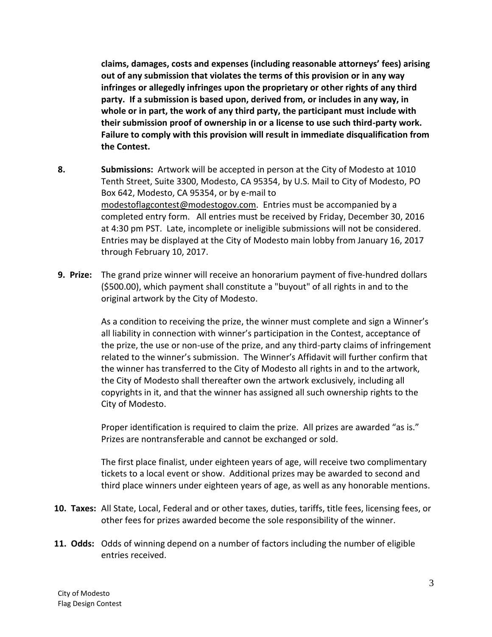**claims, damages, costs and expenses (including reasonable attorneys' fees) arising out of any submission that violates the terms of this provision or in any way infringes or allegedly infringes upon the proprietary or other rights of any third party. If a submission is based upon, derived from, or includes in any way, in whole or in part, the work of any third party, the participant must include with their submission proof of ownership in or a license to use such third-party work. Failure to comply with this provision will result in immediate disqualification from the Contest.**

- **8. Submissions:** Artwork will be accepted in person at the City of Modesto at 1010 Tenth Street, Suite 3300, Modesto, CA 95354, by U.S. Mail to City of Modesto, PO Box 642, Modesto, CA 95354, or by e-mail to modestoflagcontest@modestogov.com. Entries must be accompanied by a completed entry form. All entries must be received by Friday, December 30, 2016 at 4:30 pm PST. Late, incomplete or ineligible submissions will not be considered. Entries may be displayed at the City of Modesto main lobby from January 16, 2017 through February 10, 2017.
- **9. Prize:** The grand prize winner will receive an honorarium payment of five-hundred dollars (\$500.00), which payment shall constitute a "buyout" of all rights in and to the original artwork by the City of Modesto.

As a condition to receiving the prize, the winner must complete and sign a Winner's all liability in connection with winner's participation in the Contest, acceptance of the prize, the use or non-use of the prize, and any third-party claims of infringement related to the winner's submission. The Winner's Affidavit will further confirm that the winner has transferred to the City of Modesto all rights in and to the artwork, the City of Modesto shall thereafter own the artwork exclusively, including all copyrights in it, and that the winner has assigned all such ownership rights to the City of Modesto.

Proper identification is required to claim the prize. All prizes are awarded "as is." Prizes are nontransferable and cannot be exchanged or sold.

The first place finalist, under eighteen years of age, will receive two complimentary tickets to a local event or show. Additional prizes may be awarded to second and third place winners under eighteen years of age, as well as any honorable mentions.

- **10. Taxes:** All State, Local, Federal and or other taxes, duties, tariffs, title fees, licensing fees, or other fees for prizes awarded become the sole responsibility of the winner.
- **11. Odds:** Odds of winning depend on a number of factors including the number of eligible entries received.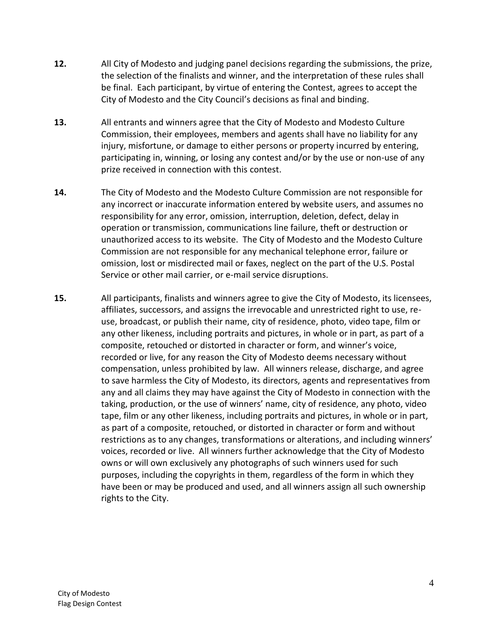- **12.** All City of Modesto and judging panel decisions regarding the submissions, the prize, the selection of the finalists and winner, and the interpretation of these rules shall be final. Each participant, by virtue of entering the Contest, agrees to accept the City of Modesto and the City Council's decisions as final and binding.
- **13.** All entrants and winners agree that the City of Modesto and Modesto Culture Commission, their employees, members and agents shall have no liability for any injury, misfortune, or damage to either persons or property incurred by entering, participating in, winning, or losing any contest and/or by the use or non-use of any prize received in connection with this contest.
- **14.** The City of Modesto and the Modesto Culture Commission are not responsible for any incorrect or inaccurate information entered by website users, and assumes no responsibility for any error, omission, interruption, deletion, defect, delay in operation or transmission, communications line failure, theft or destruction or unauthorized access to its website. The City of Modesto and the Modesto Culture Commission are not responsible for any mechanical telephone error, failure or omission, lost or misdirected mail or faxes, neglect on the part of the U.S. Postal Service or other mail carrier, or e-mail service disruptions.
- **15.** All participants, finalists and winners agree to give the City of Modesto, its licensees, affiliates, successors, and assigns the irrevocable and unrestricted right to use, reuse, broadcast, or publish their name, city of residence, photo, video tape, film or any other likeness, including portraits and pictures, in whole or in part, as part of a composite, retouched or distorted in character or form, and winner's voice, recorded or live, for any reason the City of Modesto deems necessary without compensation, unless prohibited by law. All winners release, discharge, and agree to save harmless the City of Modesto, its directors, agents and representatives from any and all claims they may have against the City of Modesto in connection with the taking, production, or the use of winners' name, city of residence, any photo, video tape, film or any other likeness, including portraits and pictures, in whole or in part, as part of a composite, retouched, or distorted in character or form and without restrictions as to any changes, transformations or alterations, and including winners' voices, recorded or live. All winners further acknowledge that the City of Modesto owns or will own exclusively any photographs of such winners used for such purposes, including the copyrights in them, regardless of the form in which they have been or may be produced and used, and all winners assign all such ownership rights to the City.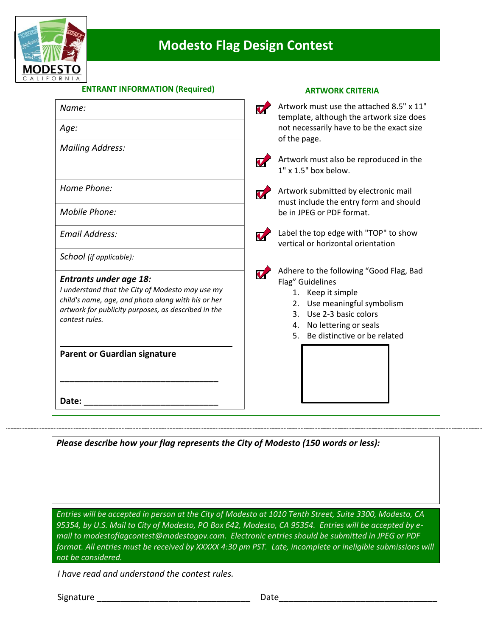

# **Modesto Flag Design Contest**

# **ENTRANT INFORMATION (Required) ARTWORK CRITERIA**

| Name:<br>Age:                                                                                             |                  | Artwork must use the attached 8.5" x 11"<br>template, although the artwork size does |
|-----------------------------------------------------------------------------------------------------------|------------------|--------------------------------------------------------------------------------------|
|                                                                                                           |                  | not necessarily have to be the exact size<br>of the page.                            |
| <b>Mailing Address:</b>                                                                                   |                  |                                                                                      |
|                                                                                                           | $\boldsymbol{v}$ | Artwork must also be reproduced in the<br>$1"$ x $1.5"$ box below.                   |
| Home Phone:                                                                                               |                  | Artwork submitted by electronic mail<br>must include the entry form and should       |
| Mobile Phone:                                                                                             |                  | be in JPEG or PDF format.                                                            |
| Email Address:                                                                                            | $\mathbf v$      | Label the top edge with "TOP" to show<br>vertical or horizontal orientation          |
| School (if applicable):                                                                                   |                  |                                                                                      |
| <b>Entrants under age 18:</b>                                                                             | $\boldsymbol{v}$ | Adhere to the following "Good Flag, Bad<br>Flag" Guidelines                          |
| I understand that the City of Modesto may use my                                                          |                  | 1. Keep it simple                                                                    |
| child's name, age, and photo along with his or her<br>artwork for publicity purposes, as described in the |                  | Use meaningful symbolism<br>2.                                                       |
| contest rules.                                                                                            |                  | Use 2-3 basic colors<br>$\mathbf{3}$                                                 |
|                                                                                                           |                  | 4. No lettering or seals                                                             |
|                                                                                                           |                  | 5. Be distinctive or be related                                                      |
| <b>Parent or Guardian signature</b>                                                                       |                  |                                                                                      |
|                                                                                                           |                  |                                                                                      |
|                                                                                                           |                  |                                                                                      |
|                                                                                                           |                  |                                                                                      |
| Date:                                                                                                     |                  |                                                                                      |
|                                                                                                           |                  |                                                                                      |

*Please describe how your flag represents the City of Modesto (150 words or less):*

*Entries will be accepted in person at the City of Modesto at 1010 Tenth Street, Suite 3300, Modesto, CA 95354, by U.S. Mail to City of Modesto, PO Box 642, Modesto, CA 95354. Entries will be accepted by email to modestoflagcontest@modestogov.com. Electronic entries should be submitted in JPEG or PDF format. All entries must be received by XXXXX 4:30 pm PST. Late, incomplete or ineligible submissions will not be considered.* 

 *I have read and understand the contest rules.*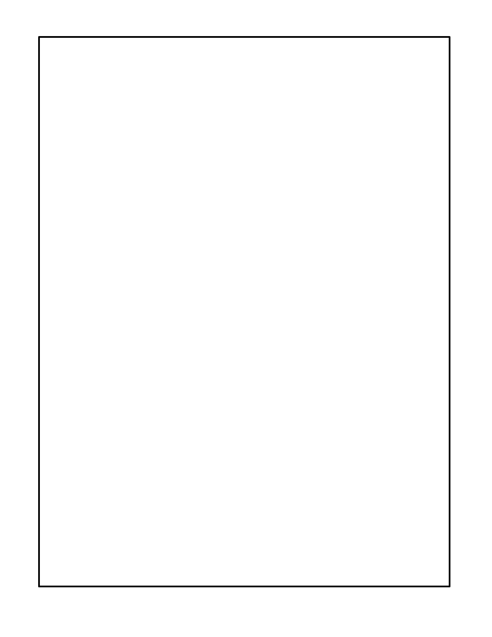